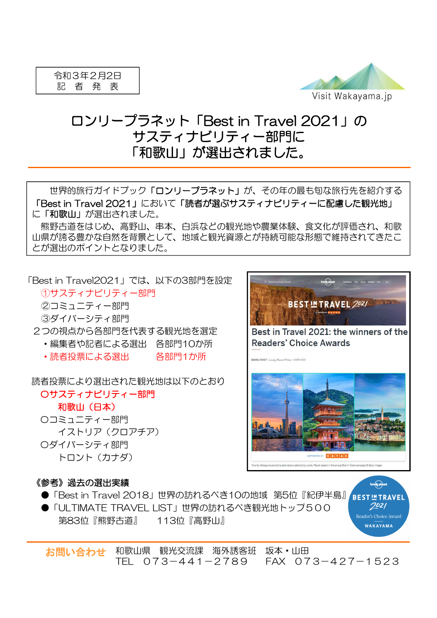

## ロンリープラネット「Best in Travel 2021」の サスティナビリティー部門に 「和歌山」が選出されました。

世界的旅行ガイドブック「ロンリープラネット」が、その年の最も旬な旅行先を紹介する 「Best in Travel 2021」において「読者が選ぶサスティナビリティーに配慮した観光地」 に「和歌山」が選出されました。

熊野古道をはじめ、高野山、串本、白浜などの観光地や農業体験、食文化が評価され、和歌 山県が誇る豊かな自然を背景として、地域と観光資源とが持続可能な形態で維持されてきたこ とが選出のポイントとなりました。

「Best in Travel2021」では、以下の3部門を設定

①サスティナビリティー部門 ②コミュニティー部門

- ③ダイバーシティ部門
- 2つの視点から各部門を代表する観光地を選定
	- ・編集者や記者による選出 各部門10か所
	- ・読者投票による選出 各部門1か所

読者投票により選出された観光地は以下のとおり

〇サスティナビリティー部門 和歌山(日本) 〇コミュニティー部門 イストリア(クロアチア) 〇ダイバーシティ部門

トロント(カナダ)

## lonely planet **BEST IN TRAVEL 2021** Best in Travel 2021: the winners of the **Readers' Choice Awards**



## 《参考》過去の選出実績

- ●「Best in Travel 2018」世界の訪れるべき10の地域 第5位『紀伊半島』
- ●「ULTIMATE TRAVEL LIST」世界の訪れるべき観光地トップ500 第83位『熊野古道』 113位『高野山』

**nely plonet RESTINTRAVEL** 7021 Reader's Choice Award WAKAYAMA

お問い合わせ 和歌山県 観光交流課 海外誘客班 坂本・山田 TEL 073-441-2789 FAX 073-427-1523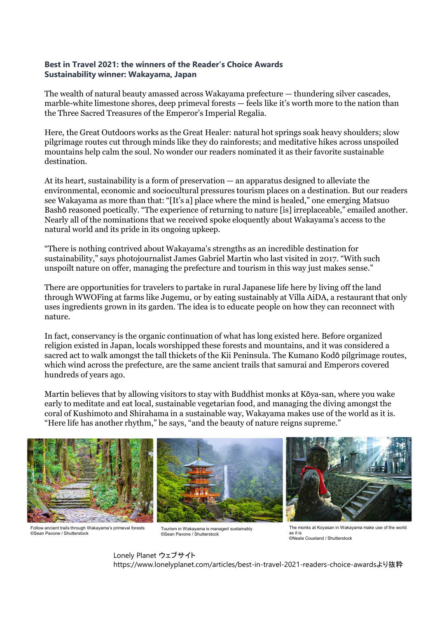## **Best in Travel 2021: the winners of the Reader's Choice Awards Sustainability winner: Wakayama, Japan**

The wealth of natural beauty amassed across Wakayama prefecture — thundering silver cascades, marble-white limestone shores, deep primeval forests — feels like it's worth more to the nation than the Three Sacred Treasures of the Emperor's Imperial Regalia.

Here, the Great Outdoors works as the Great Healer: natural hot springs soak heavy shoulders; slow pilgrimage routes cut through minds like they do rainforests; and meditative hikes across unspoiled mountains help calm the soul. No wonder our readers nominated it as their favorite sustainable destination.

At its heart, sustainability is a form of preservation — an apparatus designed to alleviate the environmental, economic and sociocultural pressures tourism places on a destination. But our readers see Wakayama as more than that: "[It's a] place where the mind is healed," one emerging Matsuo Bashō reasoned poetically. "The experience of returning to nature [is] irreplaceable," emailed another. Nearly all of the nominations that we received spoke eloquently about Wakayama's access to the natural world and its pride in its ongoing upkeep.

"There is nothing contrived about Wakayama's strengths as an incredible destination for sustainability," says photojournalist James Gabriel Martin who last visited in 2017. "With such unspoilt nature on offer, managing the prefecture and tourism in this way just makes sense."

There are opportunities for travelers to partake in rural Japanese life here by living off the land through WWOFing at farms like Jugemu, or by eating sustainably at Villa AiDA, a restaurant that only uses ingredients grown in its garden. The idea is to educate people on how they can reconnect with nature.

In fact, conservancy is the organic continuation of what has long existed here. Before organized religion existed in Japan, locals worshipped these forests and mountains, and it was considered a sacred act to walk amongst the tall thickets of the Kii Peninsula. The Kumano Kodō pilgrimage routes, which wind across the prefecture, are the same ancient trails that samurai and Emperors covered hundreds of years ago.

Martin believes that by allowing visitors to stay with Buddhist monks at Kōya-san, where you wake early to meditate and eat local, sustainable vegetarian food, and managing the diving amongst the coral of Kushimoto and Shirahama in a sustainable way, Wakayama makes use of the world as it is. "Here life has another rhythm," he says, "and the beauty of nature reigns supreme."



Follow ancient trails through Wakayama's primeval forests ©Sean Pavone / Shutterstock

Tourism in Wakayama is managed sustainably ©Sean Pavone / Shutterstock

The monks at Koyasan in Wakayama make use of the world as it is ©Neale Cousland / Shutterstock

Lonely Planet ウェブサイト https://www.lonelyplanet.com/articles/best-in-travel-2021-readers-choice-awardsより抜粋